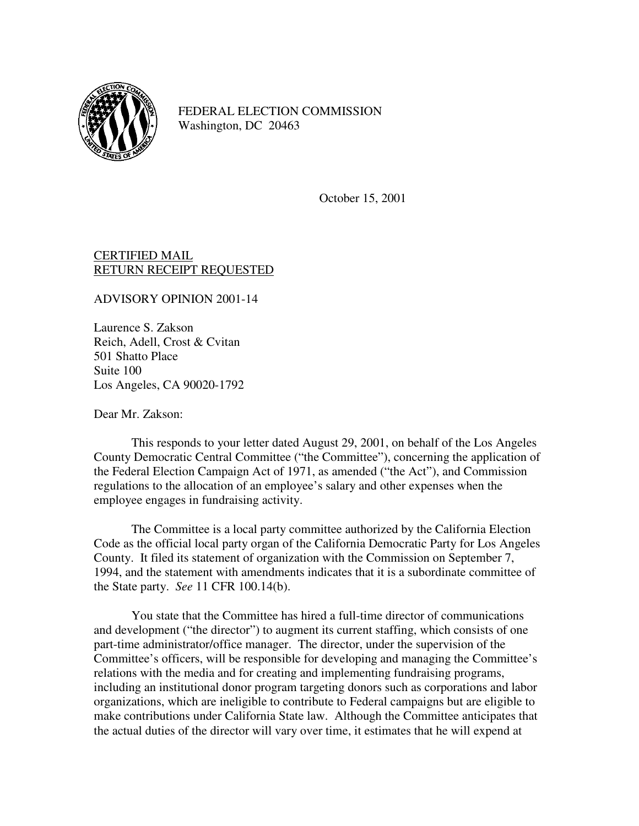

FEDERAL ELECTION COMMISSION Washington, DC 20463

October 15, 2001

## CERTIFIED MAIL RETURN RECEIPT REQUESTED

ADVISORY OPINION 2001-14

Laurence S. Zakson Reich, Adell, Crost & Cvitan 501 Shatto Place Suite 100 Los Angeles, CA 90020-1792

Dear Mr. Zakson:

This responds to your letter dated August 29, 2001, on behalf of the Los Angeles County Democratic Central Committee ("the Committee"), concerning the application of the Federal Election Campaign Act of 1971, as amended ("the Act"), and Commission regulations to the allocation of an employee's salary and other expenses when the employee engages in fundraising activity.

The Committee is a local party committee authorized by the California Election Code as the official local party organ of the California Democratic Party for Los Angeles County. It filed its statement of organization with the Commission on September 7, 1994, and the statement with amendments indicates that it is a subordinate committee of the State party. *See* 11 CFR 100.14(b).

You state that the Committee has hired a full-time director of communications and development ("the director") to augment its current staffing, which consists of one part-time administrator/office manager. The director, under the supervision of the Committee's officers, will be responsible for developing and managing the Committee's relations with the media and for creating and implementing fundraising programs, including an institutional donor program targeting donors such as corporations and labor organizations, which are ineligible to contribute to Federal campaigns but are eligible to make contributions under California State law. Although the Committee anticipates that the actual duties of the director will vary over time, it estimates that he will expend at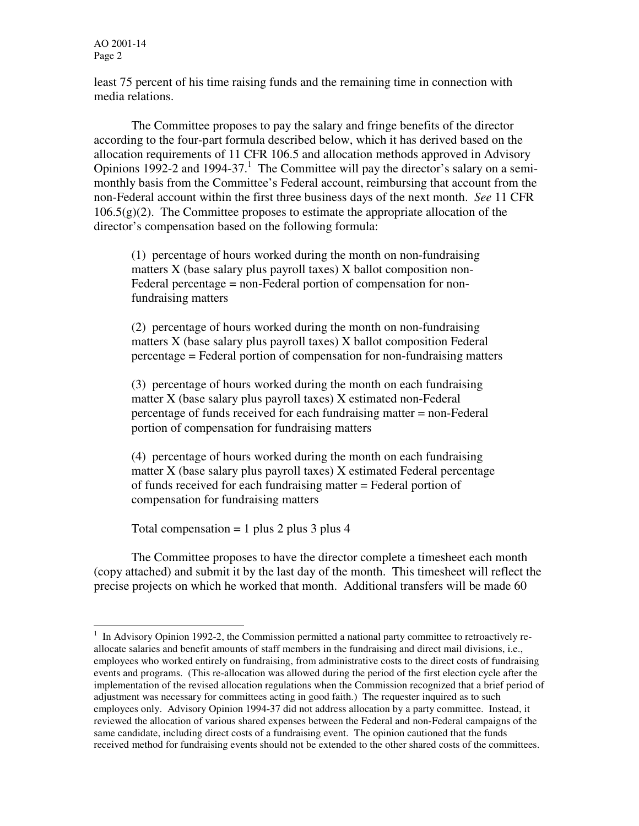l

least 75 percent of his time raising funds and the remaining time in connection with media relations.

The Committee proposes to pay the salary and fringe benefits of the director according to the four-part formula described below, which it has derived based on the allocation requirements of 11 CFR 106.5 and allocation methods approved in Advisory Opinions 1992-2 and 1994-37.<sup>1</sup> The Committee will pay the director's salary on a semimonthly basis from the Committee's Federal account, reimbursing that account from the non-Federal account within the first three business days of the next month. *See* 11 CFR  $106.5(g)(2)$ . The Committee proposes to estimate the appropriate allocation of the director's compensation based on the following formula:

(1) percentage of hours worked during the month on non-fundraising matters X (base salary plus payroll taxes) X ballot composition non-Federal percentage = non-Federal portion of compensation for nonfundraising matters

(2) percentage of hours worked during the month on non-fundraising matters X (base salary plus payroll taxes) X ballot composition Federal percentage = Federal portion of compensation for non-fundraising matters

(3) percentage of hours worked during the month on each fundraising matter X (base salary plus payroll taxes) X estimated non-Federal percentage of funds received for each fundraising matter = non-Federal portion of compensation for fundraising matters

(4) percentage of hours worked during the month on each fundraising matter X (base salary plus payroll taxes) X estimated Federal percentage of funds received for each fundraising matter = Federal portion of compensation for fundraising matters

Total compensation  $= 1$  plus 2 plus 3 plus 4

The Committee proposes to have the director complete a timesheet each month (copy attached) and submit it by the last day of the month. This timesheet will reflect the precise projects on which he worked that month. Additional transfers will be made 60

<sup>&</sup>lt;sup>1</sup> In Advisory Opinion 1992-2, the Commission permitted a national party committee to retroactively reallocate salaries and benefit amounts of staff members in the fundraising and direct mail divisions, i.e., employees who worked entirely on fundraising, from administrative costs to the direct costs of fundraising events and programs. (This re-allocation was allowed during the period of the first election cycle after the implementation of the revised allocation regulations when the Commission recognized that a brief period of adjustment was necessary for committees acting in good faith.) The requester inquired as to such employees only. Advisory Opinion 1994-37 did not address allocation by a party committee. Instead, it reviewed the allocation of various shared expenses between the Federal and non-Federal campaigns of the same candidate, including direct costs of a fundraising event. The opinion cautioned that the funds received method for fundraising events should not be extended to the other shared costs of the committees.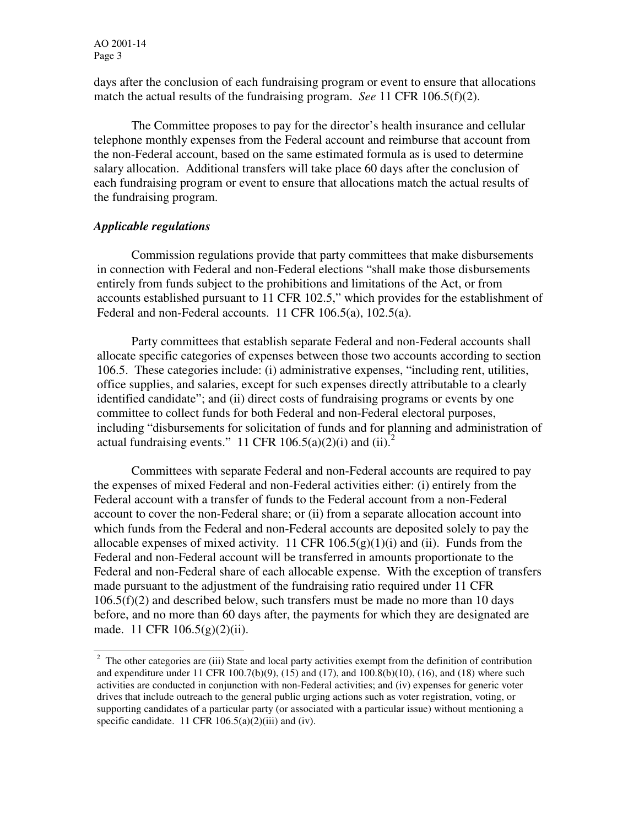days after the conclusion of each fundraising program or event to ensure that allocations match the actual results of the fundraising program. *See* 11 CFR 106.5(f)(2).

The Committee proposes to pay for the director's health insurance and cellular telephone monthly expenses from the Federal account and reimburse that account from the non-Federal account, based on the same estimated formula as is used to determine salary allocation. Additional transfers will take place 60 days after the conclusion of each fundraising program or event to ensure that allocations match the actual results of the fundraising program.

## *Applicable regulations*

 Commission regulations provide that party committees that make disbursements in connection with Federal and non-Federal elections "shall make those disbursements entirely from funds subject to the prohibitions and limitations of the Act, or from accounts established pursuant to 11 CFR 102.5," which provides for the establishment of Federal and non-Federal accounts. 11 CFR 106.5(a), 102.5(a).

Party committees that establish separate Federal and non-Federal accounts shall allocate specific categories of expenses between those two accounts according to section 106.5. These categories include: (i) administrative expenses, "including rent, utilities, office supplies, and salaries, except for such expenses directly attributable to a clearly identified candidate"; and (ii) direct costs of fundraising programs or events by one committee to collect funds for both Federal and non-Federal electoral purposes, including "disbursements for solicitation of funds and for planning and administration of actual fundraising events." 11 CFR 106.5(a)(2)(i) and (ii).<sup>2</sup>

Committees with separate Federal and non-Federal accounts are required to pay the expenses of mixed Federal and non-Federal activities either: (i) entirely from the Federal account with a transfer of funds to the Federal account from a non-Federal account to cover the non-Federal share; or (ii) from a separate allocation account into which funds from the Federal and non-Federal accounts are deposited solely to pay the allocable expenses of mixed activity. 11 CFR  $106.5(g)(1)(i)$  and (ii). Funds from the Federal and non-Federal account will be transferred in amounts proportionate to the Federal and non-Federal share of each allocable expense. With the exception of transfers made pursuant to the adjustment of the fundraising ratio required under 11 CFR 106.5(f)(2) and described below, such transfers must be made no more than 10 days before, and no more than 60 days after, the payments for which they are designated are made. 11 CFR 106.5(g)(2)(ii).

<sup>&</sup>lt;sup>2</sup> The other categories are (iii) State and local party activities exempt from the definition of contribution and expenditure under 11 CFR 100.7(b)(9), (15) and (17), and 100.8(b)(10), (16), and (18) where such activities are conducted in conjunction with non-Federal activities; and (iv) expenses for generic voter drives that include outreach to the general public urging actions such as voter registration, voting, or supporting candidates of a particular party (or associated with a particular issue) without mentioning a specific candidate. 11 CFR  $106.5(a)(2)(iii)$  and (iv).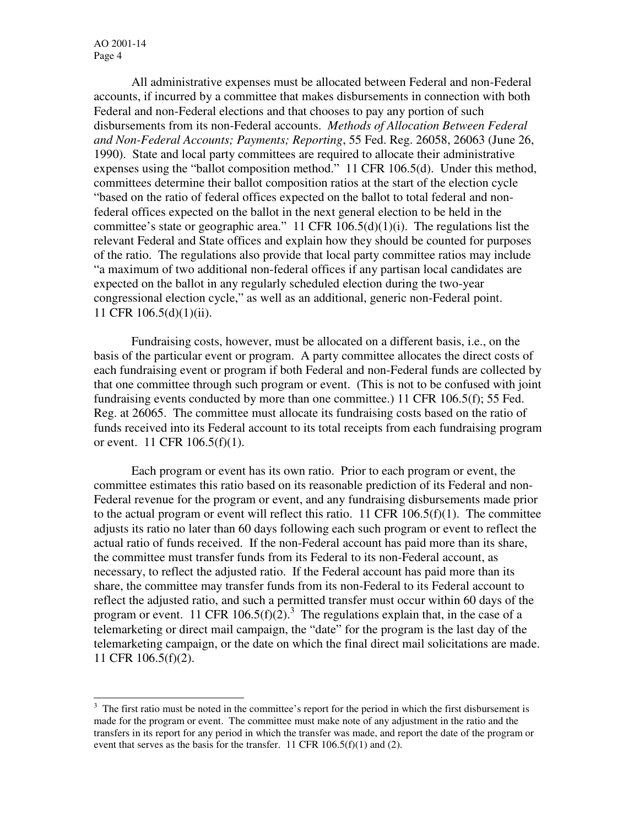l

All administrative expenses must be allocated between Federal and non-Federal accounts, if incurred by a committee that makes disbursements in connection with both Federal and non-Federal elections and that chooses to pay any portion of such disbursements from its non-Federal accounts. *Methods of Allocation Between Federal and Non-Federal Accounts; Payments; Reporting*, 55 Fed. Reg. 26058, 26063 (June 26, 1990). State and local party committees are required to allocate their administrative expenses using the "ballot composition method." 11 CFR 106.5(d). Under this method, committees determine their ballot composition ratios at the start of the election cycle "based on the ratio of federal offices expected on the ballot to total federal and nonfederal offices expected on the ballot in the next general election to be held in the committee's state or geographic area." 11 CFR  $106.5(d)(1)(i)$ . The regulations list the relevant Federal and State offices and explain how they should be counted for purposes of the ratio. The regulations also provide that local party committee ratios may include "a maximum of two additional non-federal offices if any partisan local candidates are expected on the ballot in any regularly scheduled election during the two-year congressional election cycle," as well as an additional, generic non-Federal point. 11 CFR 106.5(d)(1)(ii).

 Fundraising costs, however, must be allocated on a different basis, i.e., on the basis of the particular event or program. A party committee allocates the direct costs of each fundraising event or program if both Federal and non-Federal funds are collected by that one committee through such program or event. (This is not to be confused with joint fundraising events conducted by more than one committee.) 11 CFR 106.5(f); 55 Fed. Reg. at 26065. The committee must allocate its fundraising costs based on the ratio of funds received into its Federal account to its total receipts from each fundraising program or event. 11 CFR 106.5(f)(1).

Each program or event has its own ratio. Prior to each program or event, the committee estimates this ratio based on its reasonable prediction of its Federal and non-Federal revenue for the program or event, and any fundraising disbursements made prior to the actual program or event will reflect this ratio. 11 CFR  $106.5(f)(1)$ . The committee adjusts its ratio no later than 60 days following each such program or event to reflect the actual ratio of funds received. If the non-Federal account has paid more than its share, the committee must transfer funds from its Federal to its non-Federal account, as necessary, to reflect the adjusted ratio. If the Federal account has paid more than its share, the committee may transfer funds from its non-Federal to its Federal account to reflect the adjusted ratio, and such a permitted transfer must occur within 60 days of the program or event. 11 CFR 106.5(f)(2).<sup>3</sup> The regulations explain that, in the case of a telemarketing or direct mail campaign, the "date" for the program is the last day of the telemarketing campaign, or the date on which the final direct mail solicitations are made. 11 CFR 106.5(f)(2).

 $3$  The first ratio must be noted in the committee's report for the period in which the first disbursement is made for the program or event. The committee must make note of any adjustment in the ratio and the transfers in its report for any period in which the transfer was made, and report the date of the program or event that serves as the basis for the transfer. 11 CFR  $106.5(f)(1)$  and (2).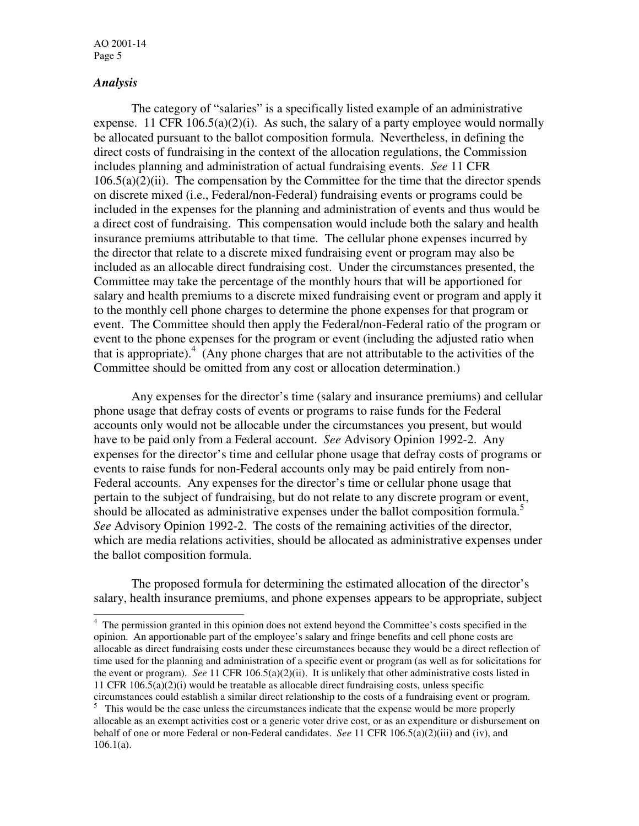## *Analysis*

-

 The category of "salaries" is a specifically listed example of an administrative expense. 11 CFR  $106.5(a)(2)(i)$ . As such, the salary of a party employee would normally be allocated pursuant to the ballot composition formula. Nevertheless, in defining the direct costs of fundraising in the context of the allocation regulations, the Commission includes planning and administration of actual fundraising events. *See* 11 CFR  $106.5(a)(2)(ii)$ . The compensation by the Committee for the time that the director spends on discrete mixed (i.e., Federal/non-Federal) fundraising events or programs could be included in the expenses for the planning and administration of events and thus would be a direct cost of fundraising. This compensation would include both the salary and health insurance premiums attributable to that time. The cellular phone expenses incurred by the director that relate to a discrete mixed fundraising event or program may also be included as an allocable direct fundraising cost. Under the circumstances presented, the Committee may take the percentage of the monthly hours that will be apportioned for salary and health premiums to a discrete mixed fundraising event or program and apply it to the monthly cell phone charges to determine the phone expenses for that program or event. The Committee should then apply the Federal/non-Federal ratio of the program or event to the phone expenses for the program or event (including the adjusted ratio when that is appropriate). $\frac{4}{3}$  (Any phone charges that are not attributable to the activities of the Committee should be omitted from any cost or allocation determination.)

Any expenses for the director's time (salary and insurance premiums) and cellular phone usage that defray costs of events or programs to raise funds for the Federal accounts only would not be allocable under the circumstances you present, but would have to be paid only from a Federal account. *See* Advisory Opinion 1992-2. Any expenses for the director's time and cellular phone usage that defray costs of programs or events to raise funds for non-Federal accounts only may be paid entirely from non-Federal accounts. Any expenses for the director's time or cellular phone usage that pertain to the subject of fundraising, but do not relate to any discrete program or event, should be allocated as administrative expenses under the ballot composition formula.<sup>5</sup> *See* Advisory Opinion 1992-2. The costs of the remaining activities of the director, which are media relations activities, should be allocated as administrative expenses under the ballot composition formula.

 The proposed formula for determining the estimated allocation of the director's salary, health insurance premiums, and phone expenses appears to be appropriate, subject

<sup>&</sup>lt;sup>4</sup> The permission granted in this opinion does not extend beyond the Committee's costs specified in the opinion. An apportionable part of the employee's salary and fringe benefits and cell phone costs are allocable as direct fundraising costs under these circumstances because they would be a direct reflection of time used for the planning and administration of a specific event or program (as well as for solicitations for the event or program). *See* 11 CFR 106.5(a)(2)(ii). It is unlikely that other administrative costs listed in 11 CFR  $106.5(a)(2)(i)$  would be treatable as allocable direct fundraising costs, unless specific circumstances could establish a similar direct relationship to the costs of a fundraising event or program.

<sup>&</sup>lt;sup>5</sup> This would be the case unless the circumstances indicate that the expense would be more properly allocable as an exempt activities cost or a generic voter drive cost, or as an expenditure or disbursement on behalf of one or more Federal or non-Federal candidates. *See* 11 CFR 106.5(a)(2)(iii) and (iv), and 106.1(a).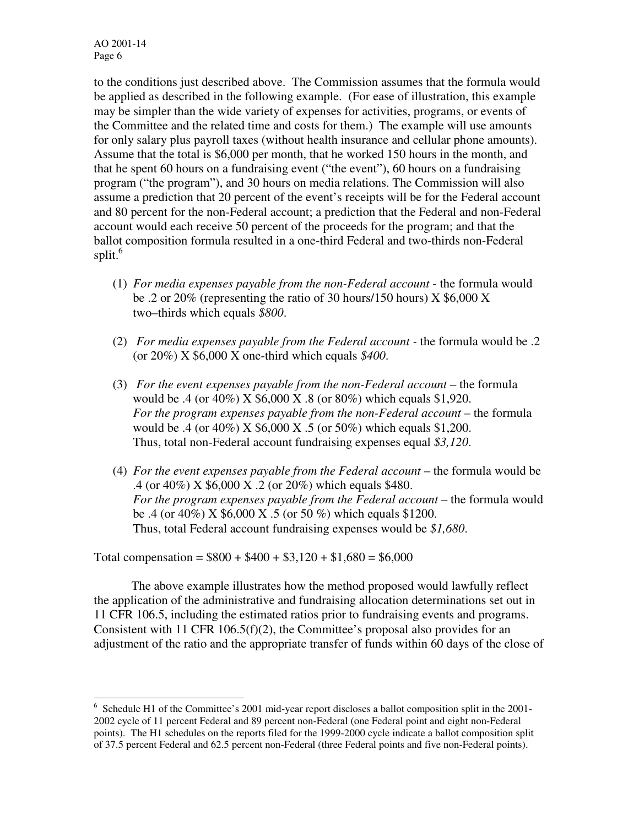to the conditions just described above. The Commission assumes that the formula would be applied as described in the following example. (For ease of illustration, this example may be simpler than the wide variety of expenses for activities, programs, or events of the Committee and the related time and costs for them.) The example will use amounts for only salary plus payroll taxes (without health insurance and cellular phone amounts). Assume that the total is \$6,000 per month, that he worked 150 hours in the month, and that he spent 60 hours on a fundraising event ("the event"), 60 hours on a fundraising program ("the program"), and 30 hours on media relations. The Commission will also assume a prediction that 20 percent of the event's receipts will be for the Federal account and 80 percent for the non-Federal account; a prediction that the Federal and non-Federal account would each receive 50 percent of the proceeds for the program; and that the ballot composition formula resulted in a one-third Federal and two-thirds non-Federal split.<sup>6</sup>

- (1) *For media expenses payable from the non-Federal account* the formula would be .2 or 20% (representing the ratio of 30 hours/150 hours)  $X$  \$6,000  $X$ two–thirds which equals *\$800*.
- (2) *For media expenses payable from the Federal account -* the formula would be .2 (or 20%) X \$6,000 X one-third which equals *\$400*.
- (3) *For the event expenses payable from the non-Federal account* the formula would be .4 (or 40%) X \$6,000 X .8 (or 80%) which equals \$1,920. *For the program expenses payable from the non-Federal account* – the formula would be .4 (or 40%) X \$6,000 X .5 (or 50%) which equals \$1,200. Thus, total non-Federal account fundraising expenses equal *\$3,120*.
- (4) *For the event expenses payable from the Federal account* the formula would be .4 (or 40%) X \$6,000 X .2 (or 20%) which equals \$480. *For the program expenses payable from the Federal account* – the formula would be .4 (or 40%) X \$6,000 X .5 (or 50 %) which equals \$1200. Thus, total Federal account fundraising expenses would be *\$1,680*.

Total compensation =  $$800 + $400 + $3,120 + $1,680 = $6,000$ 

 The above example illustrates how the method proposed would lawfully reflect the application of the administrative and fundraising allocation determinations set out in 11 CFR 106.5, including the estimated ratios prior to fundraising events and programs. Consistent with 11 CFR 106.5(f)(2), the Committee's proposal also provides for an adjustment of the ratio and the appropriate transfer of funds within 60 days of the close of

l <sup>6</sup> Schedule H1 of the Committee's 2001 mid-year report discloses a ballot composition split in the 2001-2002 cycle of 11 percent Federal and 89 percent non-Federal (one Federal point and eight non-Federal points). The H1 schedules on the reports filed for the 1999-2000 cycle indicate a ballot composition split of 37.5 percent Federal and 62.5 percent non-Federal (three Federal points and five non-Federal points).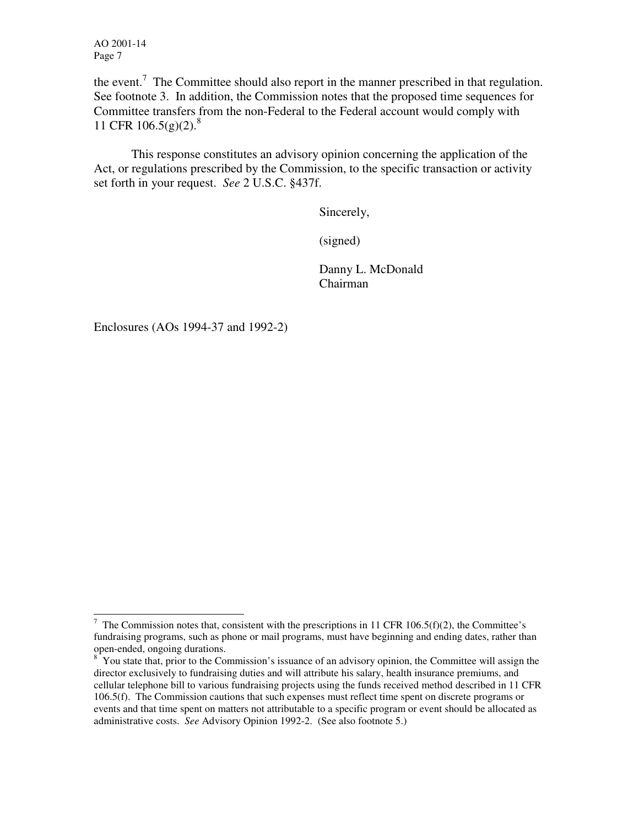the event.<sup>7</sup> The Committee should also report in the manner prescribed in that regulation. See footnote 3. In addition, the Commission notes that the proposed time sequences for Committee transfers from the non-Federal to the Federal account would comply with 11 CFR 106.5(g)(2).<sup>8</sup>

This response constitutes an advisory opinion concerning the application of the Act, or regulations prescribed by the Commission, to the specific transaction or activity set forth in your request. *See* 2 U.S.C. §437f.

Sincerely,

(signed)

 Danny L. McDonald Chairman

Enclosures (AOs 1994-37 and 1992-2)

<sup>&</sup>lt;sup>7</sup> The Commission notes that, consistent with the prescriptions in 11 CFR 106.5(f)(2), the Committee's fundraising programs, such as phone or mail programs, must have beginning and ending dates, rather than open-ended, ongoing durations.

<sup>&</sup>lt;sup>8</sup> You state that, prior to the Commission's issuance of an advisory opinion, the Committee will assign the director exclusively to fundraising duties and will attribute his salary, health insurance premiums, and cellular telephone bill to various fundraising projects using the funds received method described in 11 CFR 106.5(f). The Commission cautions that such expenses must reflect time spent on discrete programs or events and that time spent on matters not attributable to a specific program or event should be allocated as administrative costs. *See* Advisory Opinion 1992-2. (See also footnote 5.)